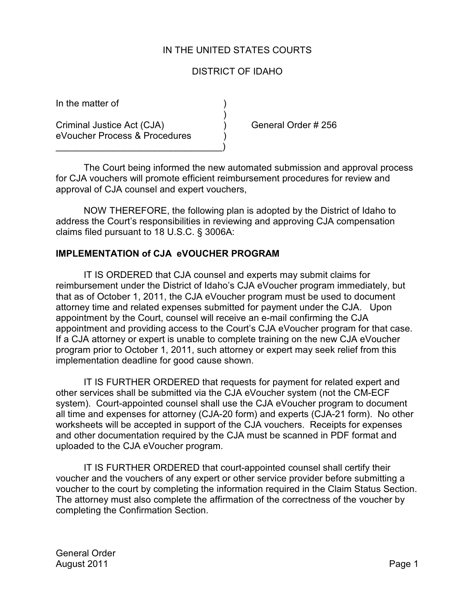## IN THE UNITED STATES COURTS

## DISTRICT OF IDAHO

)

In the matter of )

Criminal Justice Act (CJA) ) General Order # 256 eVoucher Process & Procedures )

 $\qquad \qquad \Box$ 

The Court being informed the new automated submission and approval process for CJA vouchers will promote efficient reimbursement procedures for review and approval of CJA counsel and expert vouchers,

NOW THEREFORE, the following plan is adopted by the District of Idaho to address the Court's responsibilities in reviewing and approving CJA compensation claims filed pursuant to 18 U.S.C. § 3006A:

## **IMPLEMENTATION of CJA eVOUCHER PROGRAM**

IT IS ORDERED that CJA counsel and experts may submit claims for reimbursement under the District of Idaho's CJA eVoucher program immediately, but that as of October 1, 2011, the CJA eVoucher program must be used to document attorney time and related expenses submitted for payment under the CJA. Upon appointment by the Court, counsel will receive an e-mail confirming the CJA appointment and providing access to the Court's CJA eVoucher program for that case. If a CJA attorney or expert is unable to complete training on the new CJA eVoucher program prior to October 1, 2011, such attorney or expert may seek relief from this implementation deadline for good cause shown.

IT IS FURTHER ORDERED that requests for payment for related expert and other services shall be submitted via the CJA eVoucher system (not the CM-ECF system). Court-appointed counsel shall use the CJA eVoucher program to document all time and expenses for attorney (CJA-20 form) and experts (CJA-21 form). No other worksheets will be accepted in support of the CJA vouchers. Receipts for expenses and other documentation required by the CJA must be scanned in PDF format and uploaded to the CJA eVoucher program.

IT IS FURTHER ORDERED that court-appointed counsel shall certify their voucher and the vouchers of any expert or other service provider before submitting a voucher to the court by completing the information required in the Claim Status Section. The attorney must also complete the affirmation of the correctness of the voucher by completing the Confirmation Section.